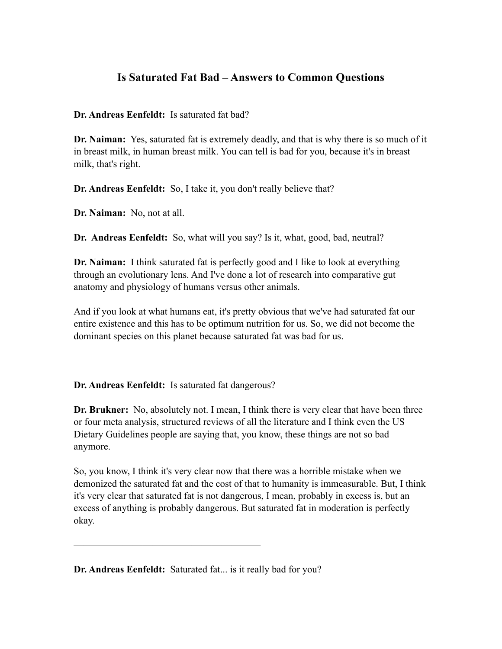## **Is Saturated Fat Bad – Answers to Common Questions**

**Dr. Andreas Eenfeldt:** Is saturated fat bad?

**Dr. Naiman:** Yes, saturated fat is extremely deadly, and that is why there is so much of it in breast milk, in human breast milk. You can tell is bad for you, because it's in breast milk, that's right.

**Dr. Andreas Eenfeldt:** So, I take it, you don't really believe that?

**Dr. Naiman:** No, not at all.

**Dr. Andreas Eenfeldt:** So, what will you say? Is it, what, good, bad, neutral?

**Dr. Naiman:** I think saturated fat is perfectly good and I like to look at everything through an evolutionary lens. And I've done a lot of research into comparative gut anatomy and physiology of humans versus other animals.

And if you look at what humans eat, it's pretty obvious that we've had saturated fat our entire existence and this has to be optimum nutrition for us. So, we did not become the dominant species on this planet because saturated fat was bad for us.

**Dr. Andreas Eenfeldt:** Is saturated fat dangerous?

———————————————————

**Dr. Brukner:** No, absolutely not. I mean, I think there is very clear that have been three or four meta analysis, structured reviews of all the literature and I think even the US Dietary Guidelines people are saying that, you know, these things are not so bad anymore.

So, you know, I think it's very clear now that there was a horrible mistake when we demonized the saturated fat and the cost of that to humanity is immeasurable. But, I think it's very clear that saturated fat is not dangerous, I mean, probably in excess is, but an excess of anything is probably dangerous. But saturated fat in moderation is perfectly okay.

**Dr. Andreas Eenfeldt:** Saturated fat... is it really bad for you?

———————————————————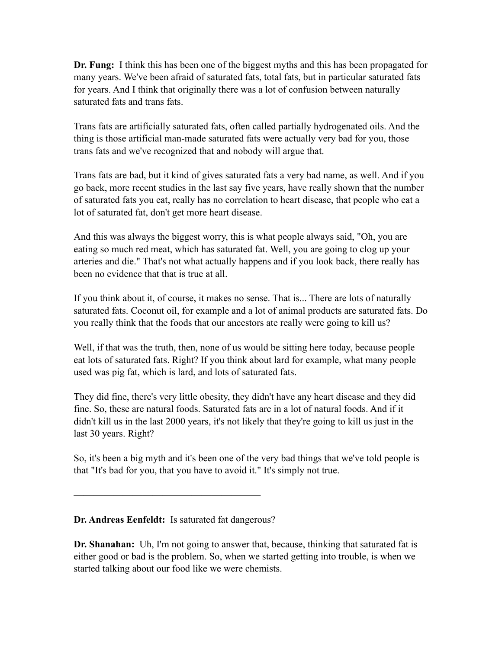**Dr. Fung:** I think this has been one of the biggest myths and this has been propagated for many years. We've been afraid of saturated fats, total fats, but in particular saturated fats for years. And I think that originally there was a lot of confusion between naturally saturated fats and trans fats.

Trans fats are artificially saturated fats, often called partially hydrogenated oils. And the thing is those artificial man-made saturated fats were actually very bad for you, those trans fats and we've recognized that and nobody will argue that.

Trans fats are bad, but it kind of gives saturated fats a very bad name, as well. And if you go back, more recent studies in the last say five years, have really shown that the number of saturated fats you eat, really has no correlation to heart disease, that people who eat a lot of saturated fat, don't get more heart disease.

And this was always the biggest worry, this is what people always said, "Oh, you are eating so much red meat, which has saturated fat. Well, you are going to clog up your arteries and die." That's not what actually happens and if you look back, there really has been no evidence that that is true at all.

If you think about it, of course, it makes no sense. That is... There are lots of naturally saturated fats. Coconut oil, for example and a lot of animal products are saturated fats. Do you really think that the foods that our ancestors ate really were going to kill us?

Well, if that was the truth, then, none of us would be sitting here today, because people eat lots of saturated fats. Right? If you think about lard for example, what many people used was pig fat, which is lard, and lots of saturated fats.

They did fine, there's very little obesity, they didn't have any heart disease and they did fine. So, these are natural foods. Saturated fats are in a lot of natural foods. And if it didn't kill us in the last 2000 years, it's not likely that they're going to kill us just in the last 30 years. Right?

So, it's been a big myth and it's been one of the very bad things that we've told people is that "It's bad for you, that you have to avoid it." It's simply not true.

## **Dr. Andreas Eenfeldt:** Is saturated fat dangerous?

———————————————————

**Dr. Shanahan:** Uh, I'm not going to answer that, because, thinking that saturated fat is either good or bad is the problem. So, when we started getting into trouble, is when we started talking about our food like we were chemists.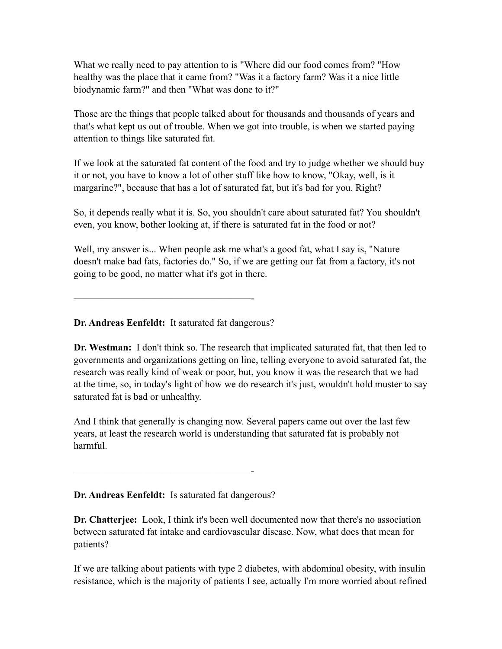What we really need to pay attention to is "Where did our food comes from? "How healthy was the place that it came from? "Was it a factory farm? Was it a nice little biodynamic farm?" and then "What was done to it?"

Those are the things that people talked about for thousands and thousands of years and that's what kept us out of trouble. When we got into trouble, is when we started paying attention to things like saturated fat.

If we look at the saturated fat content of the food and try to judge whether we should buy it or not, you have to know a lot of other stuff like how to know, "Okay, well, is it margarine?", because that has a lot of saturated fat, but it's bad for you. Right?

So, it depends really what it is. So, you shouldn't care about saturated fat? You shouldn't even, you know, bother looking at, if there is saturated fat in the food or not?

Well, my answer is... When people ask me what's a good fat, what I say is, "Nature" doesn't make bad fats, factories do." So, if we are getting our fat from a factory, it's not going to be good, no matter what it's got in there.

**Dr. Andreas Eenfeldt:** It saturated fat dangerous?

——————————————————-

**Dr. Westman:** I don't think so. The research that implicated saturated fat, that then led to governments and organizations getting on line, telling everyone to avoid saturated fat, the research was really kind of weak or poor, but, you know it was the research that we had at the time, so, in today's light of how we do research it's just, wouldn't hold muster to say saturated fat is bad or unhealthy.

And I think that generally is changing now. Several papers came out over the last few years, at least the research world is understanding that saturated fat is probably not harmful.

**Dr. Andreas Eenfeldt:** Is saturated fat dangerous?

——————————————————-

**Dr. Chatterjee:** Look, I think it's been well documented now that there's no association between saturated fat intake and cardiovascular disease. Now, what does that mean for patients?

If we are talking about patients with type 2 diabetes, with abdominal obesity, with insulin resistance, which is the majority of patients I see, actually I'm more worried about refined